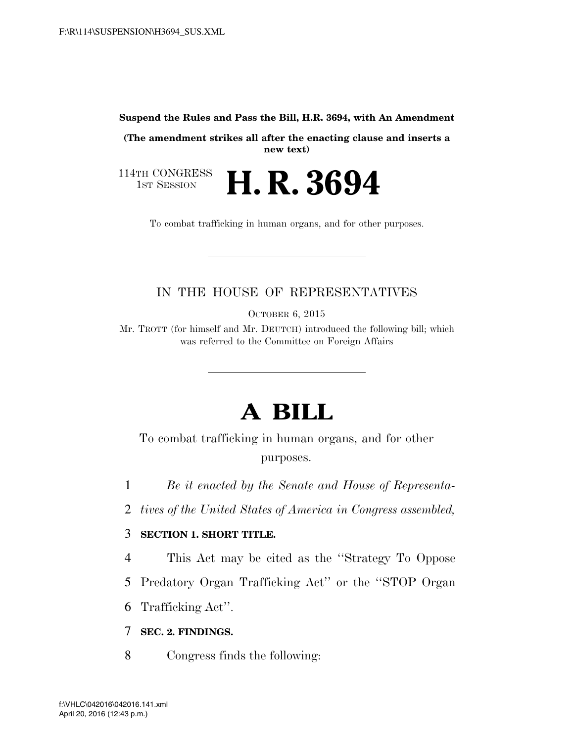#### **Suspend the Rules and Pass the Bill, H.R. 3694, with An Amendment**

**(The amendment strikes all after the enacting clause and inserts a new text)** 

114TH CONGRESS<br>1st Session H. R. 3694

To combat trafficking in human organs, and for other purposes.

### IN THE HOUSE OF REPRESENTATIVES

OCTOBER 6, 2015

Mr. TROTT (for himself and Mr. DEUTCH) introduced the following bill; which was referred to the Committee on Foreign Affairs

# **A BILL**

To combat trafficking in human organs, and for other purposes.

1 *Be it enacted by the Senate and House of Representa-*

2 *tives of the United States of America in Congress assembled,* 

#### 3 **SECTION 1. SHORT TITLE.**

4 This Act may be cited as the ''Strategy To Oppose

5 Predatory Organ Trafficking Act'' or the ''STOP Organ

6 Trafficking Act''.

7 **SEC. 2. FINDINGS.** 

8 Congress finds the following: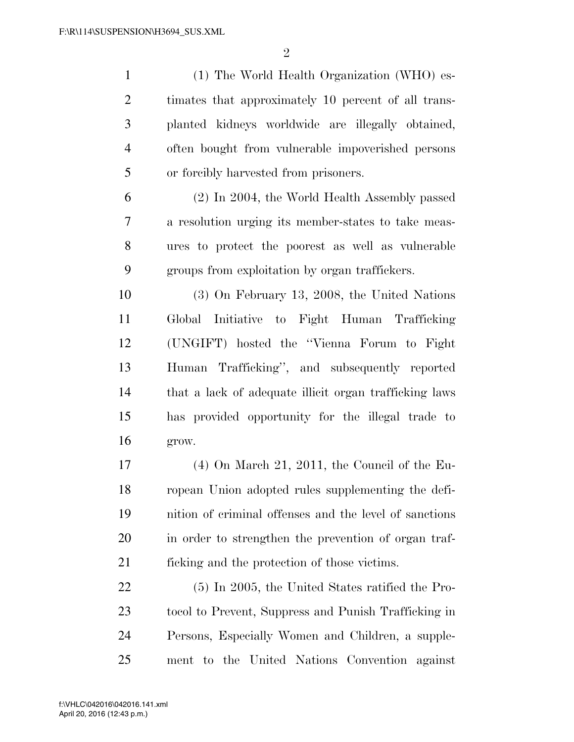$\mathfrak{D}$ 

 (1) The World Health Organization (WHO) es- timates that approximately 10 percent of all trans- planted kidneys worldwide are illegally obtained, often bought from vulnerable impoverished persons or forcibly harvested from prisoners.

 (2) In 2004, the World Health Assembly passed a resolution urging its member-states to take meas- ures to protect the poorest as well as vulnerable groups from exploitation by organ traffickers.

 (3) On February 13, 2008, the United Nations Global Initiative to Fight Human Trafficking (UNGIFT) hosted the ''Vienna Forum to Fight Human Trafficking'', and subsequently reported that a lack of adequate illicit organ trafficking laws has provided opportunity for the illegal trade to grow.

 (4) On March 21, 2011, the Council of the Eu- ropean Union adopted rules supplementing the defi- nition of criminal offenses and the level of sanctions in order to strengthen the prevention of organ traf-ficking and the protection of those victims.

 (5) In 2005, the United States ratified the Pro- tocol to Prevent, Suppress and Punish Trafficking in Persons, Especially Women and Children, a supple-ment to the United Nations Convention against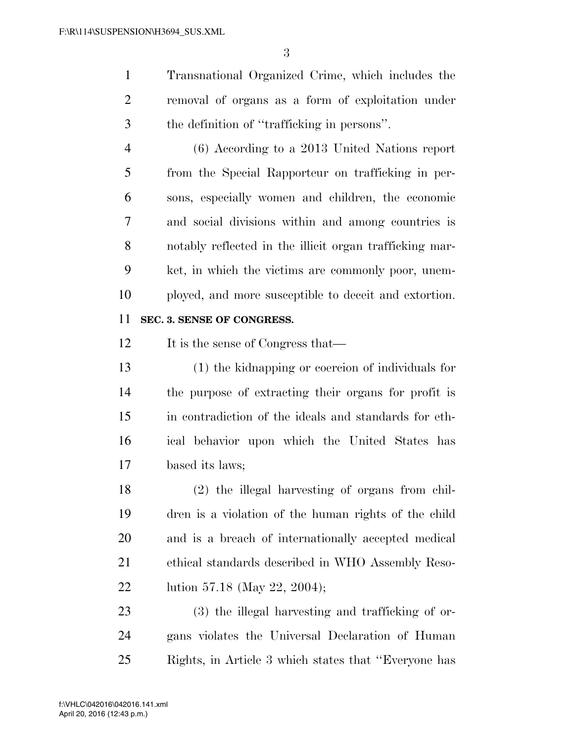Transnational Organized Crime, which includes the removal of organs as a form of exploitation under the definition of ''trafficking in persons''.

 (6) According to a 2013 United Nations report from the Special Rapporteur on trafficking in per- sons, especially women and children, the economic and social divisions within and among countries is notably reflected in the illicit organ trafficking mar- ket, in which the victims are commonly poor, unem-ployed, and more susceptible to deceit and extortion.

#### **SEC. 3. SENSE OF CONGRESS.**

12 It is the sense of Congress that—

 (1) the kidnapping or coercion of individuals for the purpose of extracting their organs for profit is in contradiction of the ideals and standards for eth- ical behavior upon which the United States has based its laws;

 (2) the illegal harvesting of organs from chil- dren is a violation of the human rights of the child and is a breach of internationally accepted medical ethical standards described in WHO Assembly Reso-lution 57.18 (May 22, 2004);

 (3) the illegal harvesting and trafficking of or- gans violates the Universal Declaration of Human Rights, in Article 3 which states that ''Everyone has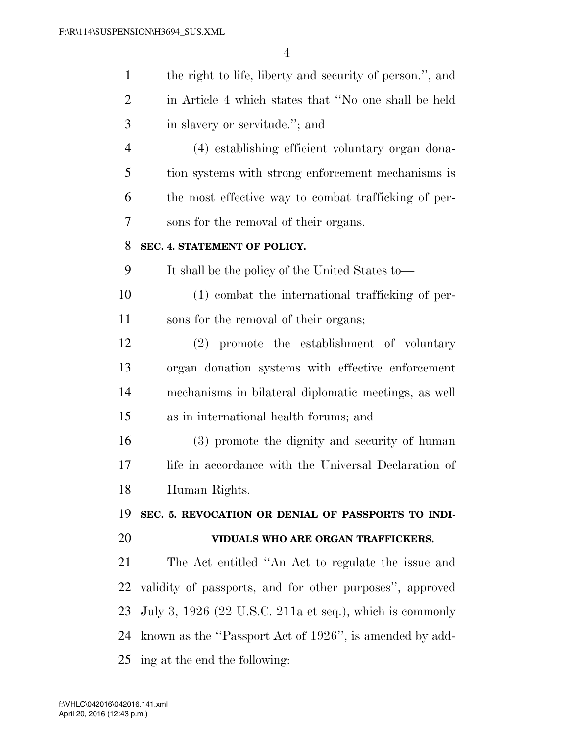| $\mathbf{1}$ | the right to life, liberty and security of person.", and   |
|--------------|------------------------------------------------------------|
| 2            | in Article 4 which states that "No one shall be held       |
| 3            | in slavery or servitude."; and                             |
| 4            | (4) establishing efficient voluntary organ dona-           |
| 5            | tion systems with strong enforcement mechanisms is         |
| 6            | the most effective way to combat trafficking of per-       |
| 7            | sons for the removal of their organs.                      |
| 8            | SEC. 4. STATEMENT OF POLICY.                               |
| 9            | It shall be the policy of the United States to—            |
| 10           | (1) combat the international trafficking of per-           |
| 11           | sons for the removal of their organs;                      |
| 12           | (2) promote the establishment of voluntary                 |
| 13           | organ donation systems with effective enforcement          |
| 14           | mechanisms in bilateral diplomatic meetings, as well       |
| 15           | as in international health forums; and                     |
| 16           | (3) promote the dignity and security of human              |
| 17           | life in accordance with the Universal Declaration of       |
| 18           | Human Rights.                                              |
| 19           | SEC. 5. REVOCATION OR DENIAL OF PASSPORTS TO INDI-         |
| 20           | VIDUALS WHO ARE ORGAN TRAFFICKERS.                         |
| 21           | The Act entitled "An Act to regulate the issue and         |
| 22           | validity of passports, and for other purposes", approved   |
| 23           | July 3, $1926$ (22 U.S.C. 211a et seq.), which is commonly |
| 24           | known as the "Passport Act of 1926", is amended by add-    |
| 25           | ing at the end the following:                              |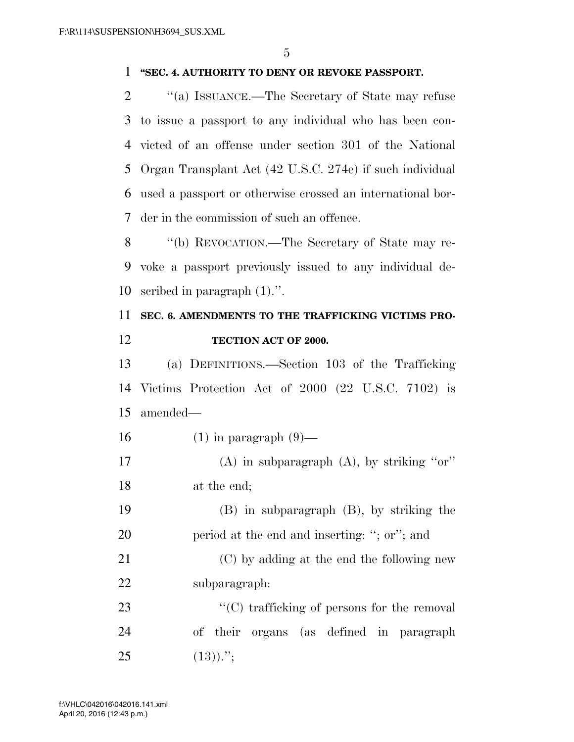#### **''SEC. 4. AUTHORITY TO DENY OR REVOKE PASSPORT.**

 $\gamma$  (a) ISSUANCE.—The Secretary of State may refuse to issue a passport to any individual who has been con- victed of an offense under section 301 of the National Organ Transplant Act (42 U.S.C. 274e) if such individual used a passport or otherwise crossed an international bor-der in the commission of such an offence.

 ''(b) REVOCATION.—The Secretary of State may re- voke a passport previously issued to any individual de-scribed in paragraph (1).''.

## **SEC. 6. AMENDMENTS TO THE TRAFFICKING VICTIMS PRO-TECTION ACT OF 2000.**

 (a) DEFINITIONS.—Section 103 of the Trafficking Victims Protection Act of 2000 (22 U.S.C. 7102) is amended—

- 16 (1) in paragraph  $(9)$ —
- (A) in subparagraph (A), by striking ''or'' at the end;

 (B) in subparagraph (B), by striking the period at the end and inserting: ''; or''; and

 (C) by adding at the end the following new subparagraph:

23  $\cdot$  (C) trafficking of persons for the removal of their organs (as defined in paragraph (13)).";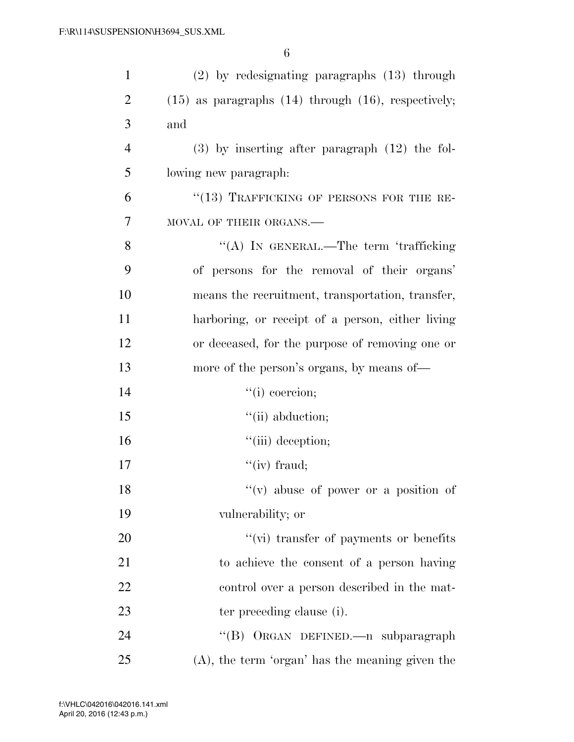| $\mathbf{1}$   | (2) by redesignating paragraphs (13) through               |
|----------------|------------------------------------------------------------|
| $\overline{2}$ | $(15)$ as paragraphs $(14)$ through $(16)$ , respectively; |
| 3              | and                                                        |
| $\overline{4}$ | $(3)$ by inserting after paragraph $(12)$ the fol-         |
| 5              | lowing new paragraph:                                      |
| 6              | "(13) TRAFFICKING OF PERSONS FOR THE RE-                   |
| 7              | MOVAL OF THEIR ORGANS.-                                    |
| 8              | "(A) IN GENERAL.—The term 'trafficking                     |
| 9              | of persons for the removal of their organs'                |
| 10             | means the recruitment, transportation, transfer,           |
| 11             | harboring, or receipt of a person, either living           |
| 12             | or deceased, for the purpose of removing one or            |
| 13             | more of the person's organs, by means of—                  |
| 14             | $``(i)$ coercion;                                          |
| 15             | "(ii) abduction;                                           |
| 16             | $"$ (iii) deception;                                       |
| 17             | $\lq\lq$ (iv) fraud;                                       |
| 18             | $f'(v)$ abuse of power or a position of                    |
| 19             | vulnerability; or                                          |
| 20             | $\lq\lq$ (vi) transfer of payments or benefits             |
| 21             | to achieve the consent of a person having                  |
| 22             | control over a person described in the mat-                |
| 23             | ter preceding clause (i).                                  |
| 24             | "(B) ORGAN DEFINED.—n subparagraph                         |
| 25             | $(A)$ , the term 'organ' has the meaning given the         |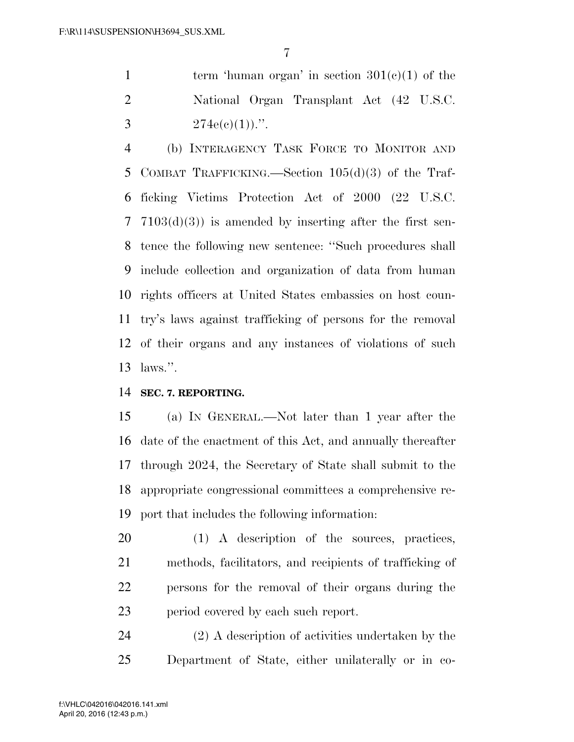1 term 'human organ' in section  $301(e)(1)$  of the National Organ Transplant Act (42 U.S.C. 3  $274e(e)(1)$ .".

 (b) INTERAGENCY TASK FORCE TO MONITOR AND COMBAT TRAFFICKING.—Section 105(d)(3) of the Traf- ficking Victims Protection Act of 2000 (22 U.S.C. 7103(d)(3)) is amended by inserting after the first sen- tence the following new sentence: ''Such procedures shall include collection and organization of data from human rights officers at United States embassies on host coun- try's laws against trafficking of persons for the removal of their organs and any instances of violations of such laws.''.

**SEC. 7. REPORTING.** 

 (a) IN GENERAL.—Not later than 1 year after the date of the enactment of this Act, and annually thereafter through 2024, the Secretary of State shall submit to the appropriate congressional committees a comprehensive re-port that includes the following information:

 (1) A description of the sources, practices, methods, facilitators, and recipients of trafficking of persons for the removal of their organs during the period covered by each such report.

 (2) A description of activities undertaken by the Department of State, either unilaterally or in co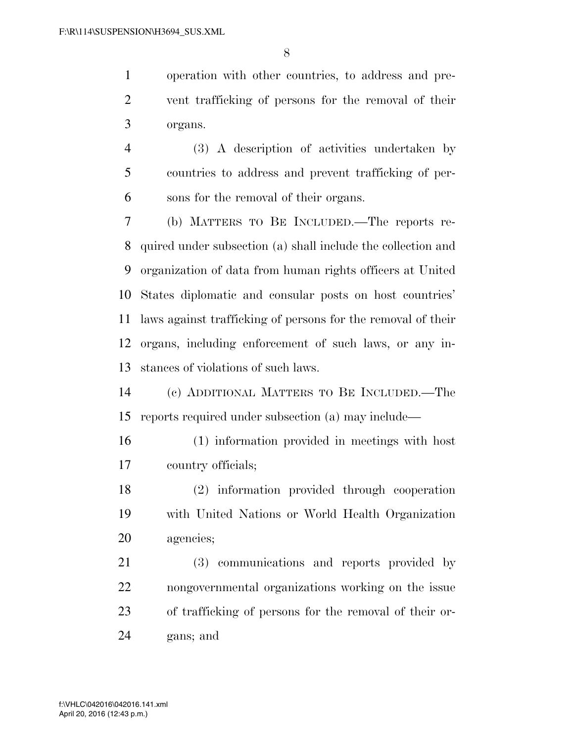operation with other countries, to address and pre- vent trafficking of persons for the removal of their organs.

 (3) A description of activities undertaken by countries to address and prevent trafficking of per-sons for the removal of their organs.

 (b) MATTERS TO BE INCLUDED.—The reports re- quired under subsection (a) shall include the collection and organization of data from human rights officers at United States diplomatic and consular posts on host countries' laws against trafficking of persons for the removal of their organs, including enforcement of such laws, or any in-stances of violations of such laws.

 (c) ADDITIONAL MATTERS TO BE INCLUDED.—The reports required under subsection (a) may include—

 (1) information provided in meetings with host country officials;

 (2) information provided through cooperation with United Nations or World Health Organization agencies;

 (3) communications and reports provided by nongovernmental organizations working on the issue of trafficking of persons for the removal of their or-gans; and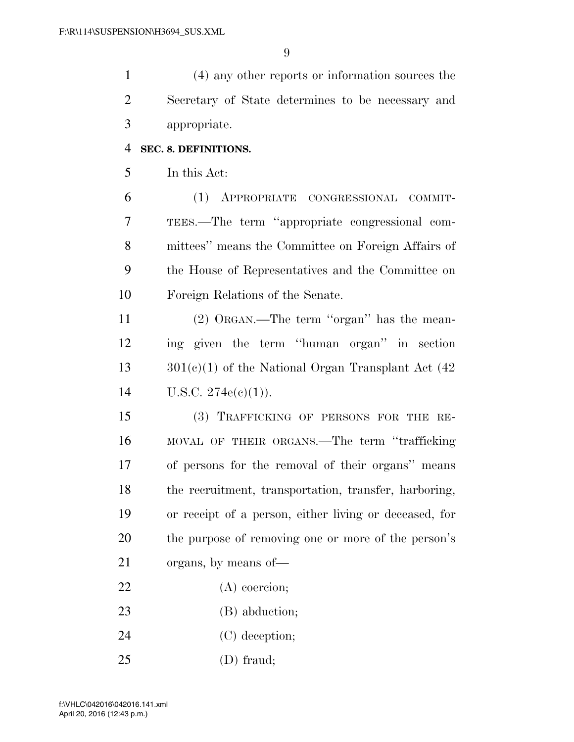(4) any other reports or information sources the Secretary of State determines to be necessary and appropriate.

#### **SEC. 8. DEFINITIONS.**

In this Act:

 (1) APPROPRIATE CONGRESSIONAL COMMIT- TEES.—The term ''appropriate congressional com- mittees'' means the Committee on Foreign Affairs of the House of Representatives and the Committee on Foreign Relations of the Senate.

11 (2) ORGAN.—The term "organ" has the mean- ing given the term ''human organ'' in section 13  $301(e)(1)$  of the National Organ Transplant Act (42) 14 U.S.C.  $274e(e)(1)$ .

 (3) TRAFFICKING OF PERSONS FOR THE RE- MOVAL OF THEIR ORGANS.—The term ''trafficking of persons for the removal of their organs'' means the recruitment, transportation, transfer, harboring, or receipt of a person, either living or deceased, for the purpose of removing one or more of the person's organs, by means of—

- (A) coercion;
- 23 (B) abduction;
- 24 (C) deception;
- (D) fraud;